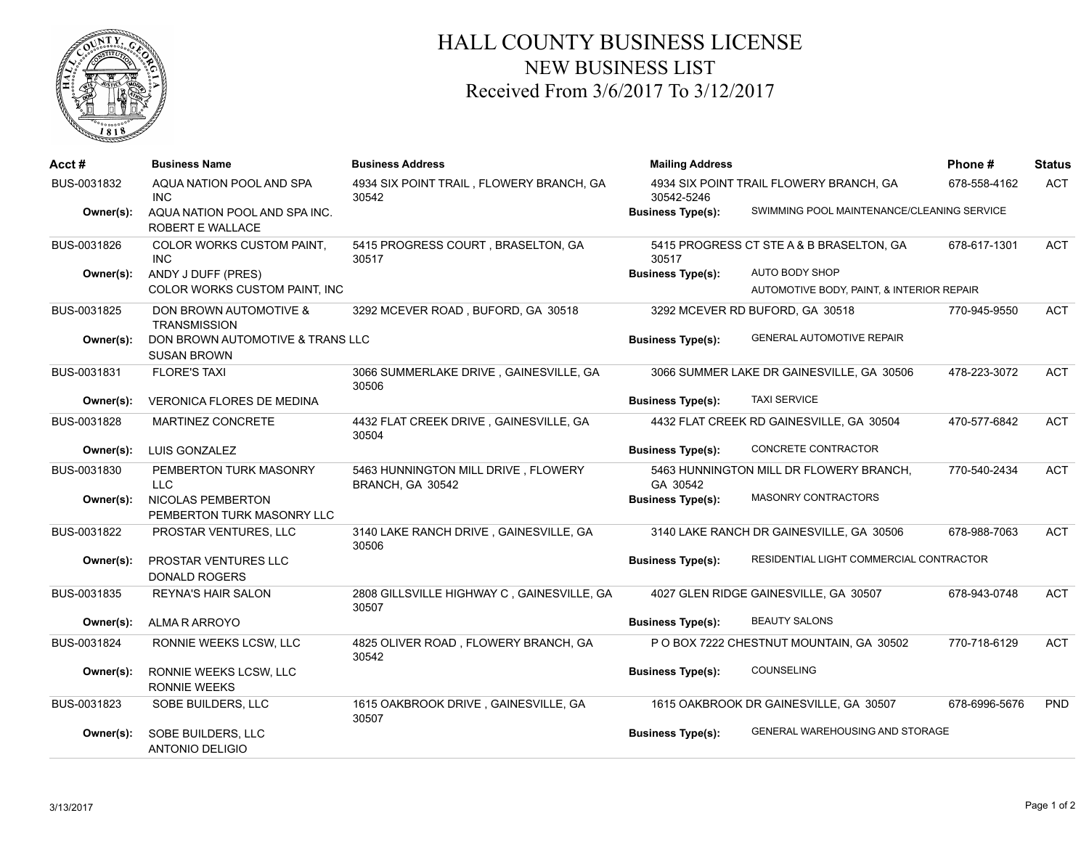

## HALL COUNTY BUSINESS LICENSE NEW BUSINESS LIST Received From 3/6/2017 To 3/12/2017

| Acct#       | <b>Business Name</b>                                     | <b>Business Address</b>                                 | <b>Mailing Address</b>   |                                            | Phone#        | <b>Status</b> |
|-------------|----------------------------------------------------------|---------------------------------------------------------|--------------------------|--------------------------------------------|---------------|---------------|
| BUS-0031832 | AQUA NATION POOL AND SPA<br>INC.                         | 4934 SIX POINT TRAIL, FLOWERY BRANCH, GA<br>30542       | 30542-5246               | 4934 SIX POINT TRAIL FLOWERY BRANCH, GA    | 678-558-4162  | <b>ACT</b>    |
| Owner(s):   | AQUA NATION POOL AND SPA INC.<br><b>ROBERT E WALLACE</b> |                                                         | <b>Business Type(s):</b> | SWIMMING POOL MAINTENANCE/CLEANING SERVICE |               |               |
| BUS-0031826 | <b>COLOR WORKS CUSTOM PAINT.</b><br><b>INC</b>           | 5415 PROGRESS COURT, BRASELTON, GA<br>30517             | 30517                    | 5415 PROGRESS CT STE A & B BRASELTON, GA   | 678-617-1301  | <b>ACT</b>    |
| Owner(s):   | ANDY J DUFF (PRES)                                       |                                                         | <b>Business Type(s):</b> | AUTO BODY SHOP                             |               |               |
|             | COLOR WORKS CUSTOM PAINT, INC                            |                                                         |                          | AUTOMOTIVE BODY, PAINT, & INTERIOR REPAIR  |               |               |
| BUS-0031825 | DON BROWN AUTOMOTIVE &<br><b>TRANSMISSION</b>            | 3292 MCEVER ROAD, BUFORD, GA 30518                      |                          | 3292 MCEVER RD BUFORD, GA 30518            | 770-945-9550  | <b>ACT</b>    |
| Owner(s):   | DON BROWN AUTOMOTIVE & TRANS LLC<br><b>SUSAN BROWN</b>   |                                                         | <b>Business Type(s):</b> | <b>GENERAL AUTOMOTIVE REPAIR</b>           |               |               |
| BUS-0031831 | <b>FLORE'S TAXI</b>                                      | 3066 SUMMERLAKE DRIVE, GAINESVILLE, GA<br>30506         |                          | 3066 SUMMER LAKE DR GAINESVILLE, GA 30506  | 478-223-3072  | <b>ACT</b>    |
| Owner(s):   | <b>VERONICA FLORES DE MEDINA</b>                         |                                                         | <b>Business Type(s):</b> | <b>TAXI SERVICE</b>                        |               |               |
| BUS-0031828 | MARTINEZ CONCRETE                                        | 4432 FLAT CREEK DRIVE, GAINESVILLE, GA<br>30504         |                          | 4432 FLAT CREEK RD GAINESVILLE, GA 30504   | 470-577-6842  | <b>ACT</b>    |
| Owner(s):   | LUIS GONZALEZ                                            |                                                         | <b>Business Type(s):</b> | CONCRETE CONTRACTOR                        |               |               |
| BUS-0031830 | PEMBERTON TURK MASONRY<br>LLC.                           | 5463 HUNNINGTON MILL DRIVE, FLOWERY<br>BRANCH, GA 30542 | GA 30542                 | 5463 HUNNINGTON MILL DR FLOWERY BRANCH,    | 770-540-2434  | <b>ACT</b>    |
| Owner(s):   | <b>NICOLAS PEMBERTON</b><br>PEMBERTON TURK MASONRY LLC   |                                                         | <b>Business Type(s):</b> | <b>MASONRY CONTRACTORS</b>                 |               |               |
| BUS-0031822 | PROSTAR VENTURES, LLC                                    | 3140 LAKE RANCH DRIVE, GAINESVILLE, GA<br>30506         |                          | 3140 LAKE RANCH DR GAINESVILLE, GA 30506   | 678-988-7063  | <b>ACT</b>    |
| Owner(s):   | PROSTAR VENTURES LLC<br><b>DONALD ROGERS</b>             |                                                         | <b>Business Type(s):</b> | RESIDENTIAL LIGHT COMMERCIAL CONTRACTOR    |               |               |
| BUS-0031835 | <b>REYNA'S HAIR SALON</b>                                | 2808 GILLSVILLE HIGHWAY C, GAINESVILLE, GA<br>30507     |                          | 4027 GLEN RIDGE GAINESVILLE, GA 30507      | 678-943-0748  | <b>ACT</b>    |
| Owner(s):   | ALMA R ARROYO                                            |                                                         | <b>Business Type(s):</b> | <b>BEAUTY SALONS</b>                       |               |               |
| BUS-0031824 | RONNIE WEEKS LCSW, LLC                                   | 4825 OLIVER ROAD, FLOWERY BRANCH, GA<br>30542           |                          | P O BOX 7222 CHESTNUT MOUNTAIN, GA 30502   | 770-718-6129  | <b>ACT</b>    |
| Owner(s):   | RONNIE WEEKS LCSW, LLC<br><b>RONNIE WEEKS</b>            |                                                         | <b>Business Type(s):</b> | COUNSELING                                 |               |               |
| BUS-0031823 | SOBE BUILDERS, LLC                                       | 1615 OAKBROOK DRIVE, GAINESVILLE, GA<br>30507           |                          | 1615 OAKBROOK DR GAINESVILLE, GA 30507     | 678-6996-5676 | <b>PND</b>    |
| Owner(s):   | SOBE BUILDERS, LLC<br><b>ANTONIO DELIGIO</b>             |                                                         | <b>Business Type(s):</b> | <b>GENERAL WAREHOUSING AND STORAGE</b>     |               |               |